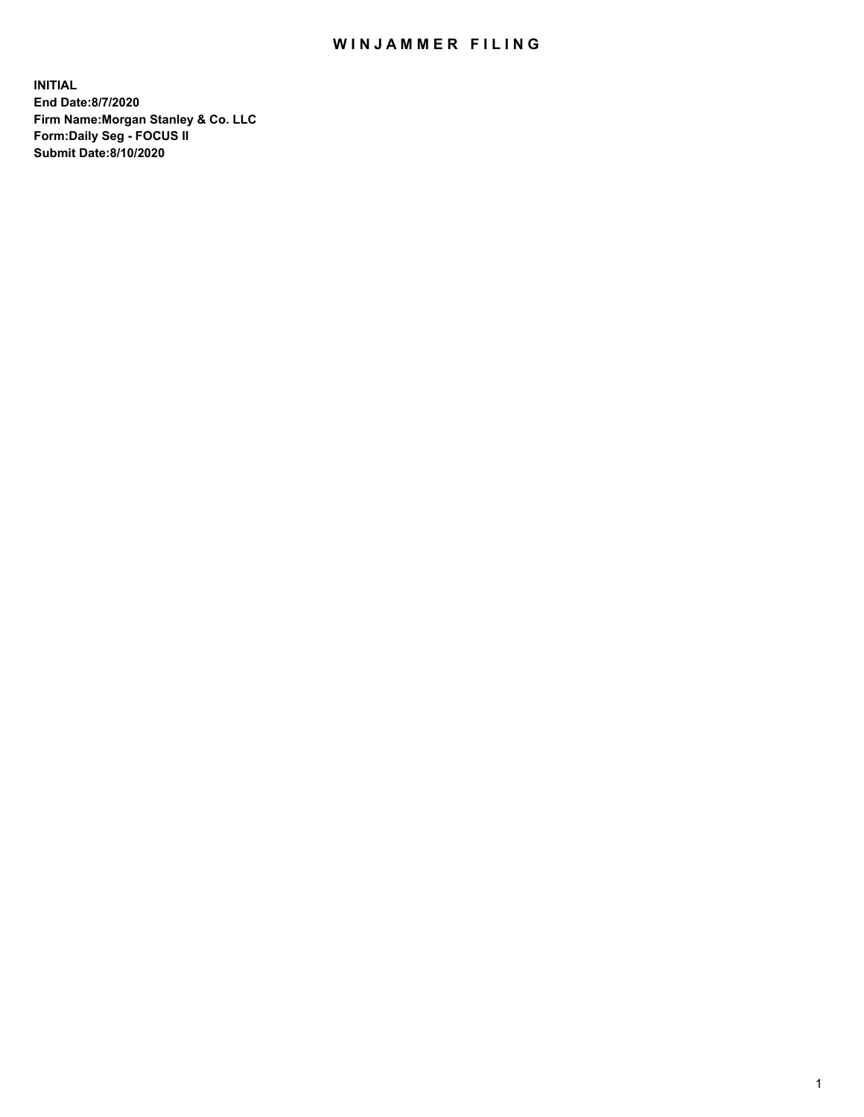## WIN JAMMER FILING

**INITIAL End Date:8/7/2020 Firm Name:Morgan Stanley & Co. LLC Form:Daily Seg - FOCUS II Submit Date:8/10/2020**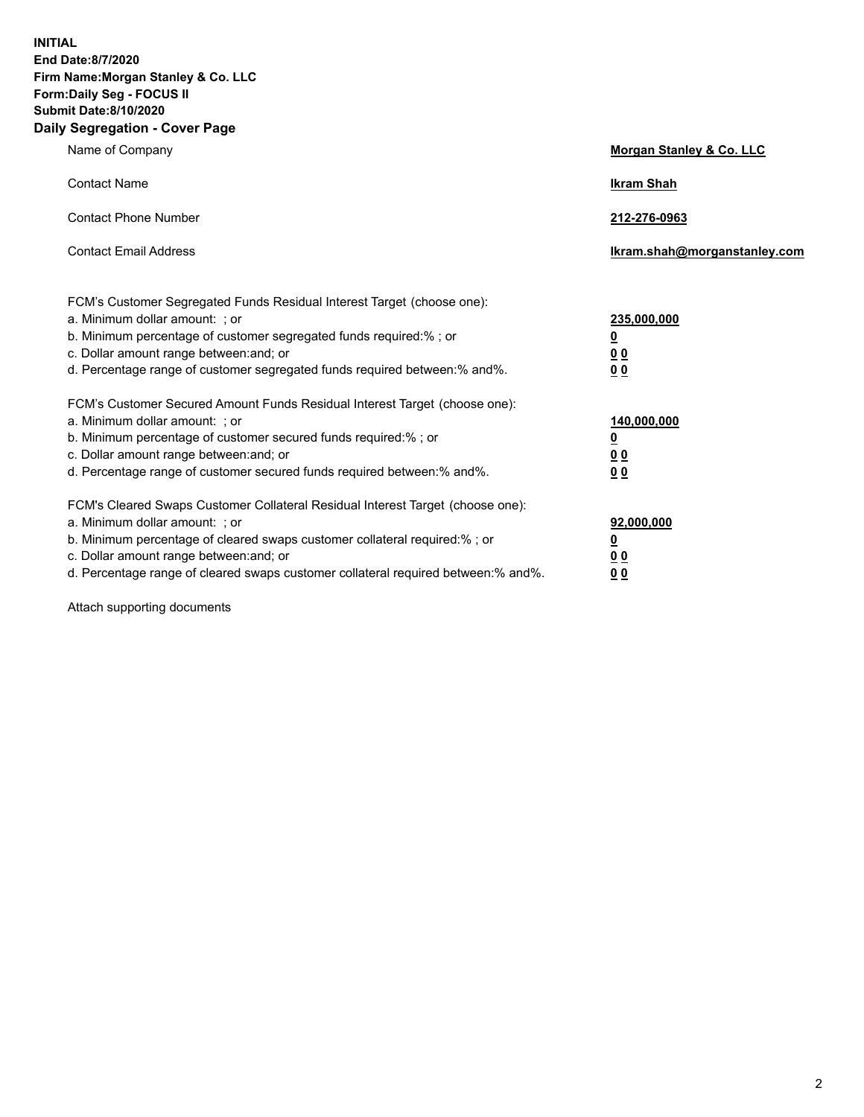**INITIAL End Date:8/7/2020 Firm Name:Morgan Stanley & Co. LLC Form:Daily Seg - FOCUS II Submit Date:8/10/2020 Daily Segregation - Cover Page**

| Name of Company                                                                                                                                                                                                                                                                                                                | <b>Morgan Stanley &amp; Co. LLC</b>                     |
|--------------------------------------------------------------------------------------------------------------------------------------------------------------------------------------------------------------------------------------------------------------------------------------------------------------------------------|---------------------------------------------------------|
| <b>Contact Name</b>                                                                                                                                                                                                                                                                                                            | <b>Ikram Shah</b>                                       |
| <b>Contact Phone Number</b>                                                                                                                                                                                                                                                                                                    | 212-276-0963                                            |
| <b>Contact Email Address</b>                                                                                                                                                                                                                                                                                                   | Ikram.shah@morganstanley.com                            |
| FCM's Customer Segregated Funds Residual Interest Target (choose one):<br>a. Minimum dollar amount: ; or<br>b. Minimum percentage of customer segregated funds required:% ; or<br>c. Dollar amount range between: and; or                                                                                                      | 235,000,000<br><u>0</u><br><u>00</u>                    |
| d. Percentage range of customer segregated funds required between:% and%.<br>FCM's Customer Secured Amount Funds Residual Interest Target (choose one):                                                                                                                                                                        | 0 <sup>0</sup>                                          |
| a. Minimum dollar amount: ; or<br>b. Minimum percentage of customer secured funds required:%; or<br>c. Dollar amount range between: and; or<br>d. Percentage range of customer secured funds required between: % and %.                                                                                                        | 140,000,000<br><u>0</u><br><u>0 0</u><br>0 <sub>0</sub> |
| FCM's Cleared Swaps Customer Collateral Residual Interest Target (choose one):<br>a. Minimum dollar amount: ; or<br>b. Minimum percentage of cleared swaps customer collateral required:% ; or<br>c. Dollar amount range between: and; or<br>d. Percentage range of cleared swaps customer collateral required between:% and%. | 92,000,000<br><u>0</u><br>0 Q<br>0 <sub>0</sub>         |

Attach supporting documents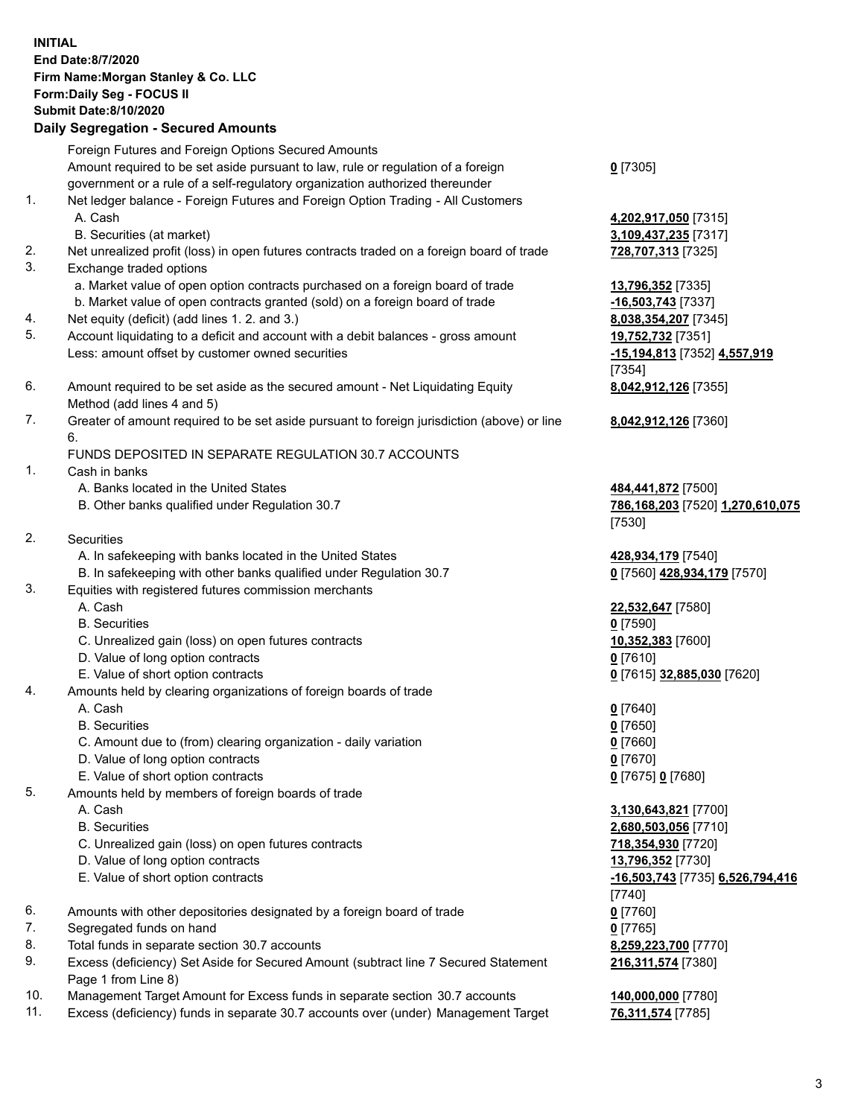## **INITIAL End Date:8/7/2020 Firm Name:Morgan Stanley & Co. LLC Form:Daily Seg - FOCUS II Submit Date:8/10/2020 Daily Segregation - Secured Amounts** Foreign Futures and Foreign Options Secured Amounts Amount required to be set aside pursuant to law, rule or regulation of a foreign government or a rule of a self-regulatory organization authorized thereunder 1. Net ledger balance - Foreign Futures and Foreign Option Trading - All Customers A. Cash **4,202,917,050** [7315] B. Securities (at market) **3,109,437,235** [7317] 2. Net unrealized profit (loss) in open futures contracts traded on a foreign board of trade **728,707,313** [7325] 3. Exchange traded options a. Market value of open option contracts purchased on a foreign board of trade **13,796,352** [7335] b. Market value of open contracts granted (sold) on a foreign board of trade **-16,503,743** [7337] 4. Net equity (deficit) (add lines 1. 2. and 3.) **8,038,354,207** [7345] 5. Account liquidating to a deficit and account with a debit balances - gross amount **19,752,732** [7351] Less: amount offset by customer owned securities **-15,194,813** [7352] **4,557,919** 6. Amount required to be set aside as the secured amount - Net Liquidating Equity Method (add lines 4 and 5) 7. Greater of amount required to be set aside pursuant to foreign jurisdiction (above) or line 6. FUNDS DEPOSITED IN SEPARATE REGULATION 30.7 ACCOUNTS 1. Cash in banks A. Banks located in the United States **484,441,872** [7500] B. Other banks qualified under Regulation 30.7 **786,168,203** [7520] **1,270,610,075** 2. Securities A. In safekeeping with banks located in the United States **428,934,179** [7540] B. In safekeeping with other banks qualified under Regulation 30.7 **0** [7560] **428,934,179** [7570] 3. Equities with registered futures commission merchants A. Cash **22,532,647** [7580] B. Securities **0** [7590] C. Unrealized gain (loss) on open futures contracts **10,352,383** [7600] D. Value of long option contracts **0** [7610] E. Value of short option contracts **0** [7615] **32,885,030** [7620] 4. Amounts held by clearing organizations of foreign boards of trade A. Cash **0** [7640] B. Securities **0** [7650] C. Amount due to (from) clearing organization - daily variation **0** [7660] D. Value of long option contracts **0** [7670] E. Value of short option contracts **0** [7675] **0** [7680] 5. Amounts held by members of foreign boards of trade A. Cash **3,130,643,821** [7700] B. Securities **2,680,503,056** [7710] C. Unrealized gain (loss) on open futures contracts **718,354,930** [7720] D. Value of long option contracts **13,796,352** [7730] E. Value of short option contracts **-16,503,743** [7735] **6,526,794,416**

- 6. Amounts with other depositories designated by a foreign board of trade **0** [7760]
- 7. Segregated funds on hand **0** [7765]
- 8. Total funds in separate section 30.7 accounts **8,259,223,700** [7770]
- 9. Excess (deficiency) Set Aside for Secured Amount (subtract line 7 Secured Statement Page 1 from Line 8)
- 10. Management Target Amount for Excess funds in separate section 30.7 accounts **140,000,000** [7780]
- 11. Excess (deficiency) funds in separate 30.7 accounts over (under) Management Target **76,311,574** [7785]

**0** [7305]

[7354] **8,042,912,126** [7355]

**8,042,912,126** [7360]

[7530]

[7740] **216,311,574** [7380]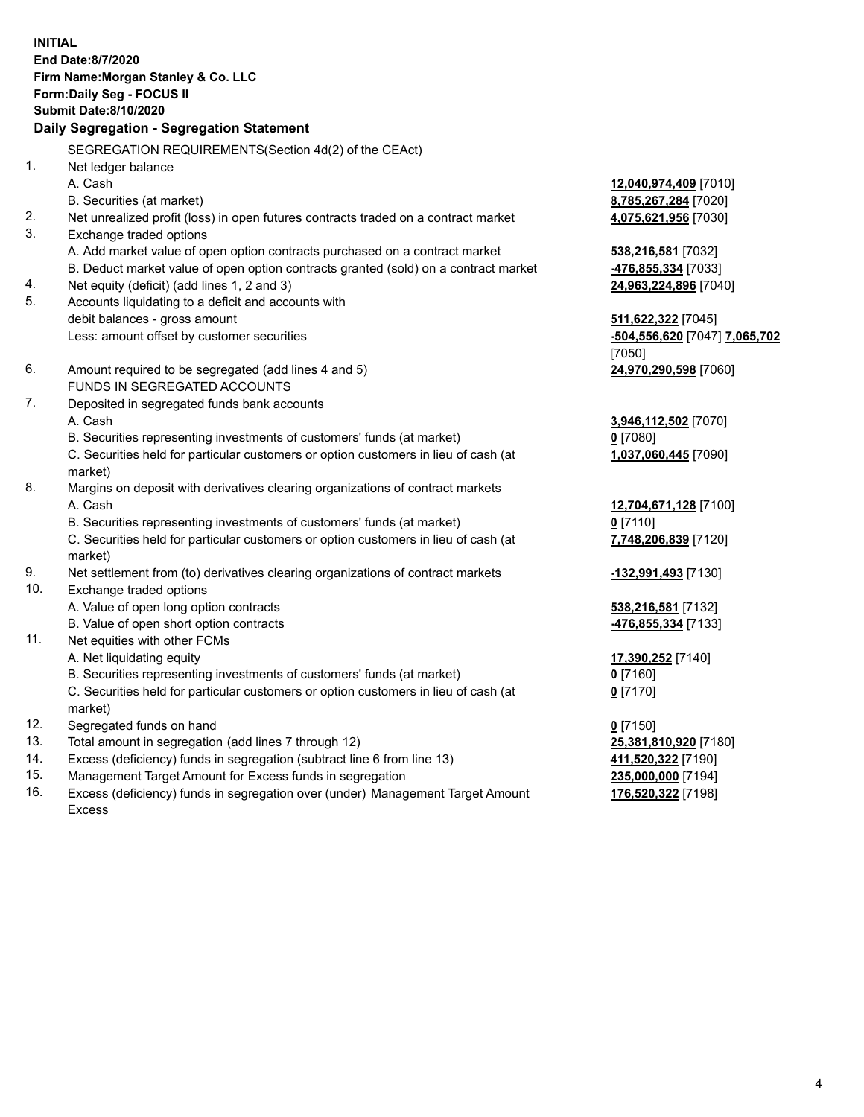**INITIAL End Date:8/7/2020 Firm Name:Morgan Stanley & Co. LLC Form:Daily Seg - FOCUS II Submit Date:8/10/2020 Daily Segregation - Segregation Statement** SEGREGATION REQUIREMENTS(Section 4d(2) of the CEAct) 1. Net ledger balance A. Cash **12,040,974,409** [7010] B. Securities (at market) **8,785,267,284** [7020] 2. Net unrealized profit (loss) in open futures contracts traded on a contract market **4,075,621,956** [7030] 3. Exchange traded options A. Add market value of open option contracts purchased on a contract market **538,216,581** [7032] B. Deduct market value of open option contracts granted (sold) on a contract market **-476,855,334** [7033] 4. Net equity (deficit) (add lines 1, 2 and 3) **24,963,224,896** [7040] 5. Accounts liquidating to a deficit and accounts with debit balances - gross amount **511,622,322** [7045] Less: amount offset by customer securities **-504,556,620** [7047] **7,065,702** [7050] 6. Amount required to be segregated (add lines 4 and 5) **24,970,290,598** [7060] FUNDS IN SEGREGATED ACCOUNTS 7. Deposited in segregated funds bank accounts A. Cash **3,946,112,502** [7070] B. Securities representing investments of customers' funds (at market) **0** [7080] C. Securities held for particular customers or option customers in lieu of cash (at market) **1,037,060,445** [7090] 8. Margins on deposit with derivatives clearing organizations of contract markets A. Cash **12,704,671,128** [7100] B. Securities representing investments of customers' funds (at market) **0** [7110] C. Securities held for particular customers or option customers in lieu of cash (at market) **7,748,206,839** [7120] 9. Net settlement from (to) derivatives clearing organizations of contract markets **-132,991,493** [7130] 10. Exchange traded options A. Value of open long option contracts **538,216,581** [7132] B. Value of open short option contracts **-476,855,334** [7133] 11. Net equities with other FCMs A. Net liquidating equity **17,390,252** [7140] B. Securities representing investments of customers' funds (at market) **0** [7160] C. Securities held for particular customers or option customers in lieu of cash (at market) **0** [7170] 12. Segregated funds on hand **0** [7150] 13. Total amount in segregation (add lines 7 through 12) **25,381,810,920** [7180] 14. Excess (deficiency) funds in segregation (subtract line 6 from line 13) **411,520,322** [7190] 15. Management Target Amount for Excess funds in segregation **235,000,000** [7194] **176,520,322** [7198]

16. Excess (deficiency) funds in segregation over (under) Management Target Amount Excess